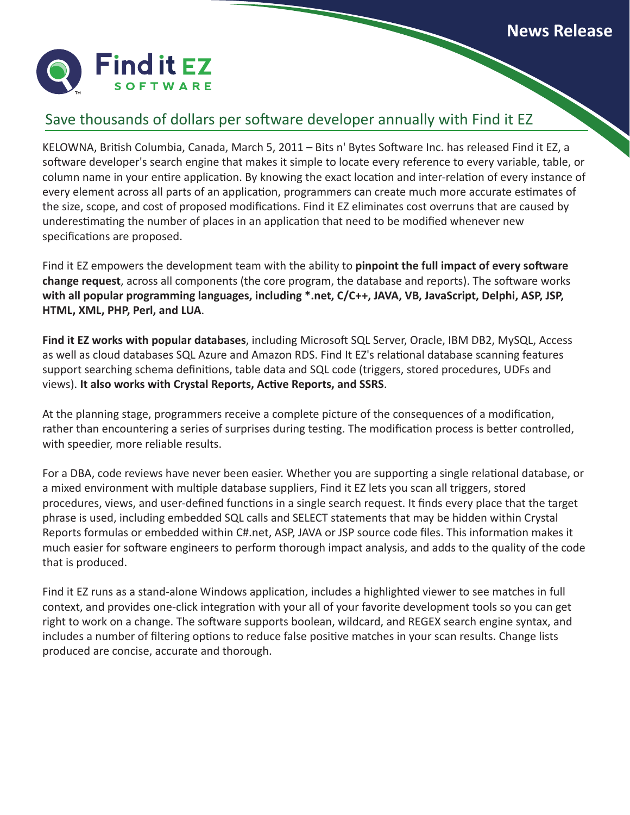

## Save thousands of dollars per software developer annually with Find it EZ

KELOWNA, British Columbia, Canada, March 5, 2011 – Bits n' Bytes Software Inc. has released Find it EZ, a software developer's search engine that makes it simple to locate every reference to every variable, table, or column name in your entire application. By knowing the exact location and inter-relation of every instance of every element across all parts of an application, programmers can create much more accurate estimates of the size, scope, and cost of proposed modifications. Find it EZ eliminates cost overruns that are caused by underestimating the number of places in an application that need to be modified whenever new specifications are proposed.

Find it EZ empowers the development team with the ability to **pinpoint the full impact of every software change request**, across all components (the core program, the database and reports). The software works **with all popular programming languages, including \*.net, C/C++, JAVA, VB, JavaScript, Delphi, ASP, JSP, HTML, XML, PHP, Perl, and LUA**.

**Find it EZ works with popular databases**, including Microsoft SQL Server, Oracle, IBM DB2, MySQL, Access as well as cloud databases SQL Azure and Amazon RDS. Find It EZ's relational database scanning features support searching schema definitions, table data and SQL code (triggers, stored procedures, UDFs and views). **It also works with Crystal Reports, Active Reports, and SSRS**.

At the planning stage, programmers receive a complete picture of the consequences of a modification, rather than encountering a series of surprises during testing. The modification process is better controlled, with speedier, more reliable results.

For a DBA, code reviews have never been easier. Whether you are supporting a single relational database, or a mixed environment with multiple database suppliers, Find it EZ lets you scan all triggers, stored procedures, views, and user-defined functions in a single search request. It finds every place that the target phrase is used, including embedded SQL calls and SELECT statements that may be hidden within Crystal Reports formulas or embedded within C#.net, ASP, JAVA or JSP source code files. This information makes it much easier for software engineers to perform thorough impact analysis, and adds to the quality of the code that is produced.

Find it EZ runs as a stand-alone Windows application, includes a highlighted viewer to see matches in full context, and provides one-click integration with your all of your favorite development tools so you can get right to work on a change. The software supports boolean, wildcard, and REGEX search engine syntax, and includes a number of filtering options to reduce false positive matches in your scan results. Change lists produced are concise, accurate and thorough.